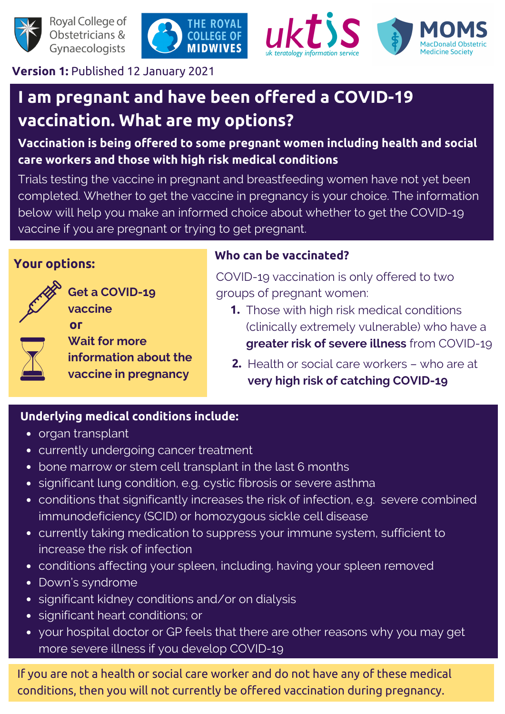

Royal College of Obstetricians & Gynaecologists





**Version 1:** Published 12 January 2021

## **I am pregnant and have been offered a COVID-19 vaccination. What are my options?**

**Vaccination is being offered to some pregnant women including health and social care workers and those with high risk medical conditions**

Trials testing the vaccine in pregnant and breastfeeding women have not yet been completed. Whether to get the vaccine in pregnancy is your choice. The information below will help you make an informed choice about whether to get the COVID-19 vaccine if you are pregnant or trying to get pregnant.

#### **Your options:**



**Get a COVID-19 vaccine or**

**Wait for more information about the vaccine in pregnancy**

#### **Who can be vaccinated?**

COVID-19 vaccination is only offered to two groups of pregnant women:

- **1.** Those with high risk medical conditions (clinically extremely vulnerable) who have a **greater risk of severe illness** from COVID-19
- **2.** Health or social care workers who are at **very high risk of catching COVID-19**

#### **Underlying medical conditions include:**

- organ transplant
- currently undergoing cancer treatment
- bone marrow or stem cell transplant in the last 6 months
- significant lung condition, e.g. cystic fibrosis or severe asthma
- conditions that significantly increases the risk of infection, e.g. severe combined immunodeficiency (SCID) or homozygous sickle cell disease
- currently taking medication to suppress your immune system, sufficient to increase the risk of infection
- conditions affecting your spleen, including. having your spleen removed
- Down's syndrome
- significant kidney conditions and/or on dialysis
- significant heart conditions; or
- your hospital doctor or GP feels that there are other reasons why you may get more severe illness if you develop COVID-19

If you are not a health or social care worker and do not have any of these medical conditions, then you will not currently be offered vaccination during pregnancy.